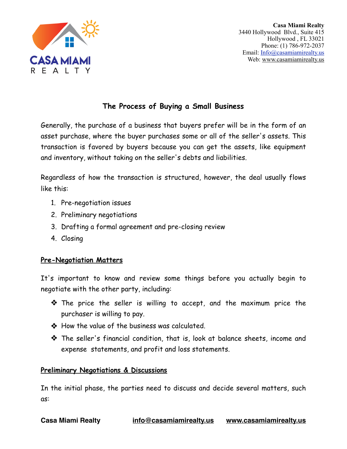

# **The Process of Buying a Small Business**

Generally, the purchase of a business that buyers prefer will be in the form of an asset purchase, where the buyer purchases some or all of the seller's assets. This transaction is favored by buyers because you can get the assets, like equipment and inventory, without taking on the seller's debts and liabilities.

Regardless of how the transaction is structured, however, the deal usually flows like this:

- 1. Pre-negotiation issues
- 2. Preliminary negotiations
- 3. Drafting a formal agreement and pre-closing review
- 4. Closing

## **Pre-Negotiation Matters**

It's important to know and review some things before you actually begin to negotiate with the other party, including:

- ❖ The price the seller is willing to accept, and the maximum price the purchaser is willing to pay.
- ❖ How the value of the business was calculated.
- ❖ The seller's financial condition, that is, look at balance sheets, income and expense statements, and profit and loss statements.

#### **Preliminary Negotiations & Discussions**

In the initial phase, the parties need to discuss and decide several matters, such as: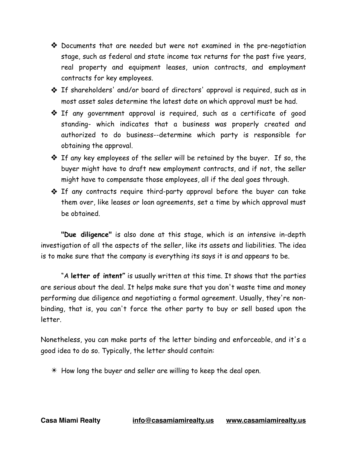- ❖ Documents that are needed but were not examined in the pre-negotiation stage, such as federal and state income tax returns for the past five years, real property and equipment leases, union contracts, and employment contracts for key employees.
- ❖ If shareholders' and/or board of directors' approval is required, such as in most asset sales determine the latest date on which approval must be had.
- ❖ If any government approval is required, such as a certificate of good standing- which indicates that a business was properly created and authorized to do business--determine which party is responsible for obtaining the approval.
- ❖ If any key employees of the seller will be retained by the buyer. If so, the buyer might have to draft new employment contracts, and if not, the seller might have to compensate those employees, all if the deal goes through.
- ❖ If any contracts require third-party approval before the buyer can take them over, like leases or loan agreements, set a time by which approval must be obtained.

**"Due diligence"** is also done at this stage, which is an intensive in-depth investigation of all the aspects of the seller, like its assets and liabilities. The idea is to make sure that the company is everything its says it is and appears to be.

 "A **letter of intent"** is usually written at this time. It shows that the parties are serious about the deal. It helps make sure that you don't waste time and money performing due diligence and negotiating a formal agreement. Usually, they're nonbinding, that is, you can't force the other party to buy or sell based upon the letter.

Nonetheless, you can make parts of the letter binding and enforceable, and it's a good idea to do so. Typically, the letter should contain:

 $*$  How long the buyer and seller are willing to keep the deal open.